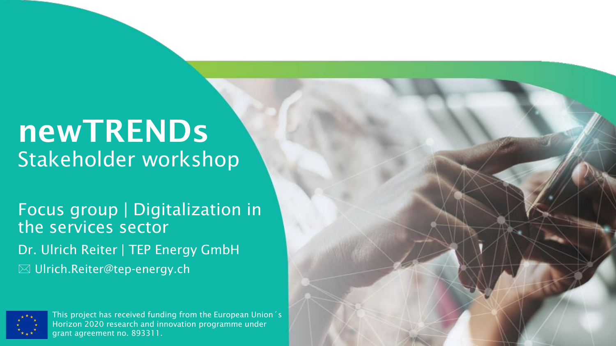# newTRENDs Stakeholder workshop

Focus group | Digitalization in the services sector Dr. Ulrich Reiter | TEP Energy GmbH **W** Ulrich.Reiter@tep-energy.ch



This project has received funding from the European Union´s Horizon 2020 research and innovation programme under grant agreement no. 893311.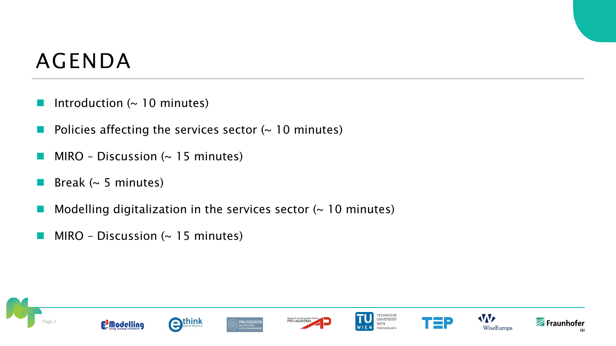### AGENDA

- Introduction  $($   $\sim$  10 minutes)
- Policies affecting the services sector  $($   $\sim$  10 minutes)
- $MIRO Discussion (~ 15 minutes)$
- **Break (** $\sim$  **5 minutes)**
- Modelling digitalization in the services sector  $($   $\sim$  10 minutes)
- $MIRO Discussion (~ 15 minutes)$



Fraunhofer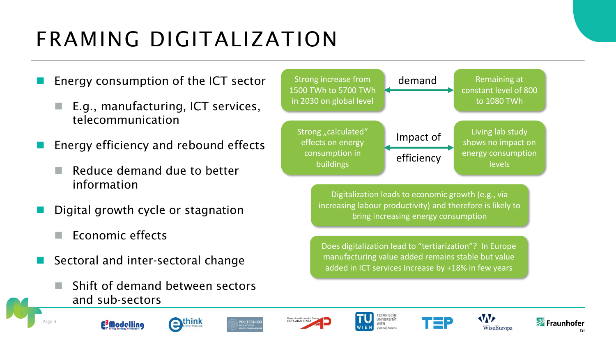### FRAMING DIGITALIZATION

- Energy consumption of the ICT sector
	- E.g., manufacturing, ICT services, telecommunication
- Energy efficiency and rebound effects
	- Reduce demand due to better information
- Digital growth cycle or stagnation
	- Economic effects
- Sectoral and inter-sectoral change
	- Shift of demand between sectors and sub-sectors



Digitalization leads to economic growth (e.g., via increasing labour productivity) and therefore is likely to bring increasing energy consumption

Does digitalization lead to "tertiarization"? In Europe manufacturing value added remains stable but value added in ICT services increase by +18% in few years













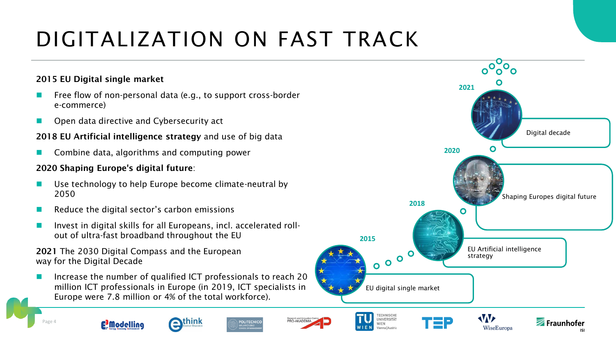## DIGITALIZATION ON FAST TRACK

#### 2015 EU Digital single market

- Free flow of non-personal data (e.g., to support cross-border e-commerce)
- Open data directive and Cybersecurity act

#### 2018 EU Artificial intelligence strategy and use of big data

◼ Combine data, algorithms and computing power

#### 2020 Shaping Europe's digital future:

- Use technology to help Europe become climate-neutral by 2050
- Reduce the digital sector's carbon emissions
- ◼ Invest in digital skills for all Europeans, incl. accelerated rollout of ultra-fast broadband throughout the EU

#### 2021 The 2030 Digital Compass and the European way for the Digital Decade

Increase the number of qualified ICT professionals to reach 20 million ICT professionals in Europe (in 2019, ICT specialists in Europe were 7.8 million or 4% of the total workforce).





Page 4





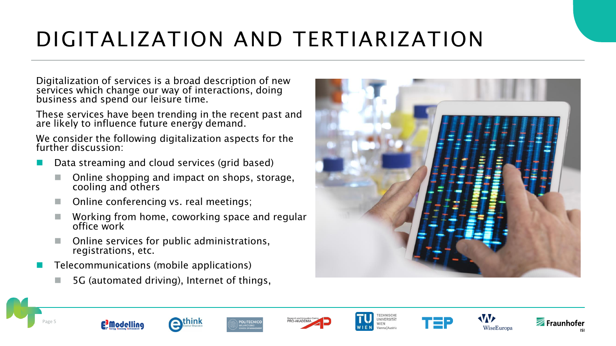### DIGITALIZATION AND TERTIARIZATION

Digitalization of services is a broad description of new services which change our way of interactions, doing business and spend our leisure time.

These services have been trending in the recent past and are likely to influence future energy demand.

We consider the following digitalization aspects for the further discussion:

- Data streaming and cloud services (grid based)
	- Online shopping and impact on shops, storage, cooling and others
	- Online conferencing vs. real meetings;
	- Working from home, coworking space and regular office work
	- ◼ Online services for public administrations, registrations, etc.
- Telecommunications (mobile applications)
	- ◼ 5G (automated driving), Internet of things,



















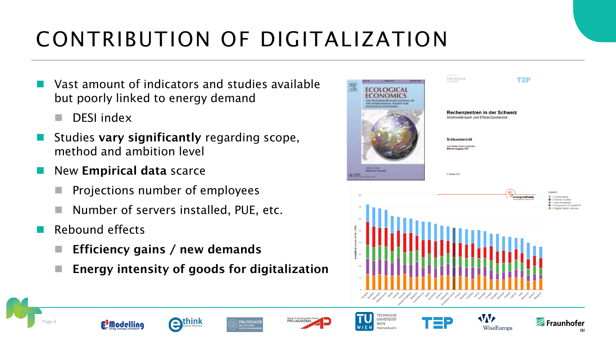## CONTRIBUTION OF DIGITALIZATION

- Vast amount of indicators and studies available but poorly linked to energy demand
	- DESI index
- Studies vary significantly regarding scope, method and ambition level
- New Empirical data scarce
	- ◼ Projections number of employees
	- Number of servers installed, PUE, etc.
- Rebound effects
	- $\blacksquare$  Efficiency gains / new demands
	- Energy intensity of goods for digitalization